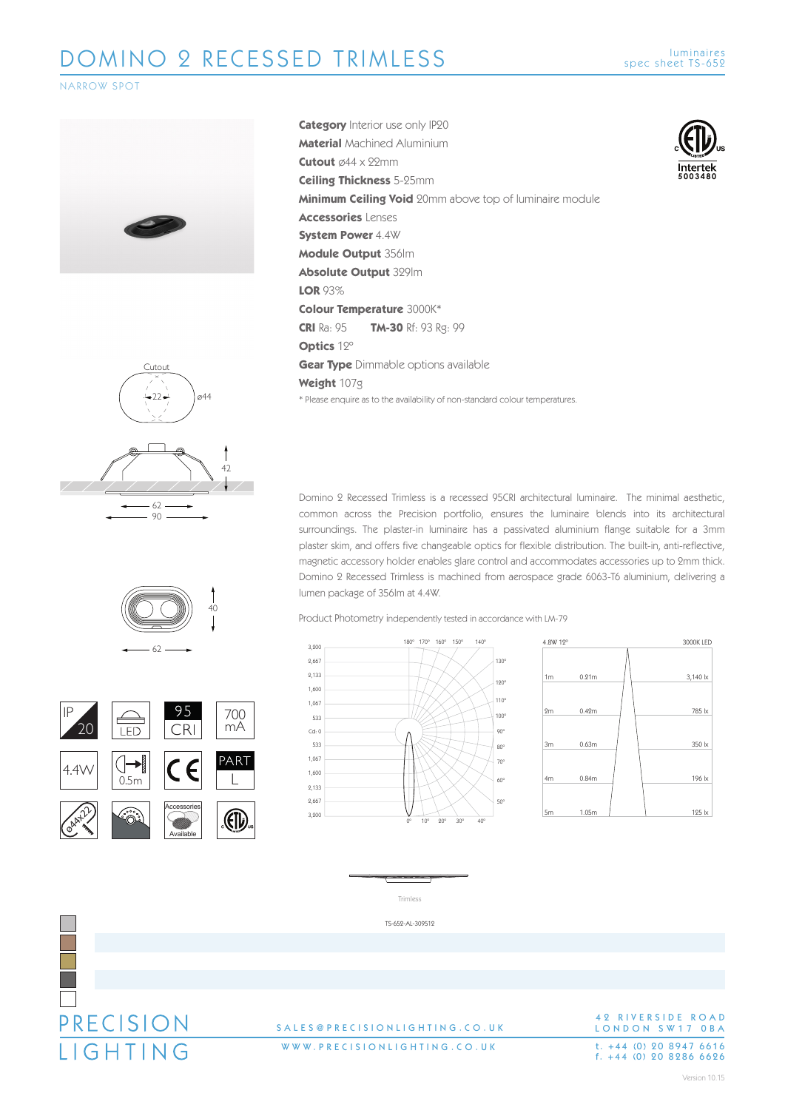

**5003480**

**Intertek** 



 $62$  $22 -$ Cutout ø44 42 90





PRECISION **IGHTING** 

**Category** Interior use only IP20 **Material** Machined Aluminium **Cutout** ø44 x 22mm **Ceiling Thickness** 5-25mm **Minimum Ceiling Void** 20mm above top of luminaire module **Accessories** Lenses **System Power** 4.4W **Module Output** 356lm **Absolute Output** 329lm **LOR** 93% **Colour Temperature** 3000K\* **CRI** Ra: 95 **TM-30** Rf: 93 Rg: 99 **Optics** 12º **Gear Type** Dimmable options available **Weight** 107g \* Please enquire as to the availability of non-standard colour temperatures.

Domino 2 Recessed Trimless is a recessed 95CRI architectural luminaire. The minimal aesthetic, common across the Precision portfolio, ensures the luminaire blends into its architectural surroundings. The plaster-in luminaire has a passivated aluminium flange suitable for a 3mm plaster skim, and offers five changeable optics for flexible distribution. The built-in, anti-reflective, magnetic accessory holder enables glare control and accommodates accessories up to 2mm thick. Domino 2 Recessed Trimless is machined from aerospace grade 6063-T6 aluminium, delivering a lumen package of 356lm at 4.4W.

Product Photometry independently tested in accordance with LM-79







### 42 RIVERSIDE ROAD LONDON SW17 OBA t. +44 (0) 20 8947 6616<br>f. +44 (0) 20 8286 6626

## SALES@PRECISIONLIGHTING.CO.U K

WWW.PRECISIONLIGHTING.CO.UK

Version 10.15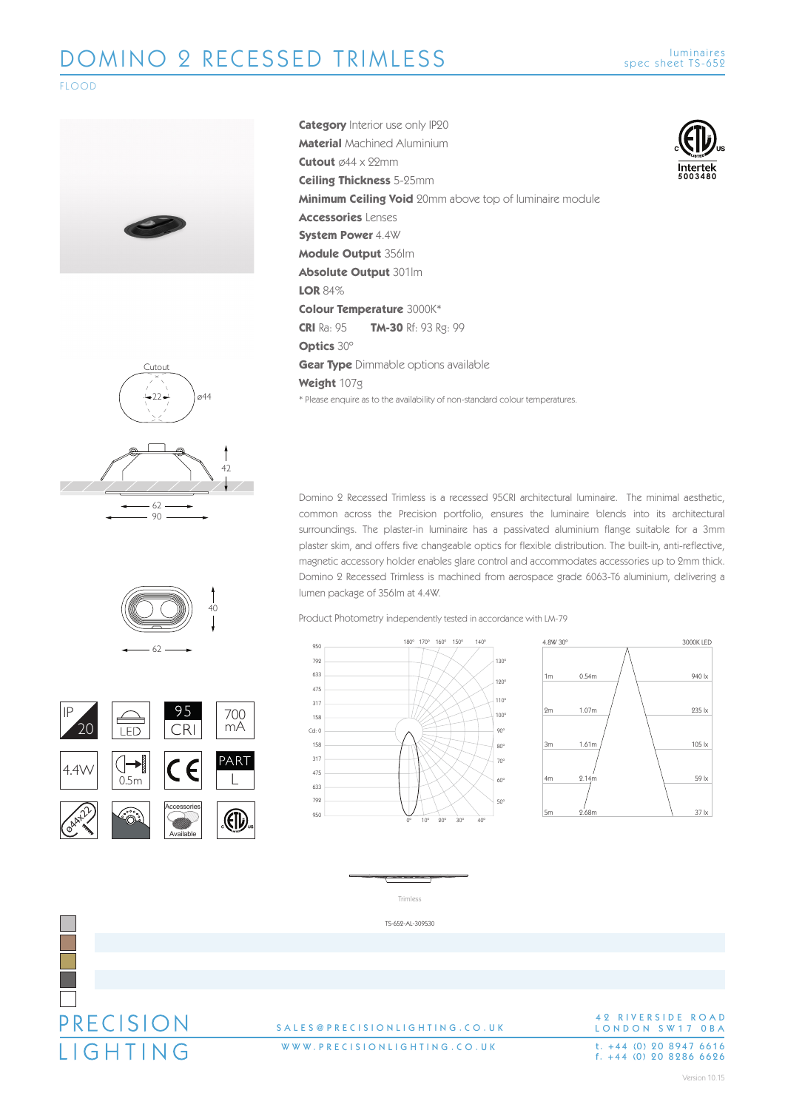**5003480**

**Intertek** 

### FLOOD





Domino 2 Recessed Trimless is a recessed 95CRI architectural luminaire. The minimal aesthetic, common across the Precision portfolio, ensures the luminaire blends into its architectural surroundings. The plaster-in luminaire has a passivated aluminium flange suitable for a 3mm plaster skim, and offers five changeable optics for flexible distribution. The built-in, anti-reflective, magnetic accessory holder enables glare control and accommodates accessories up to 2mm thick. Domino 2 Recessed Trimless is machined from aerospace grade 6063-T6 aluminium, delivering a lumen package of 356lm at 4.4W.

Product Photometry independently tested in accordance with LM-79









## SALES@PRECISIONLIGHTING.CO.U K

WWW.PRECISIONLIGHTING.CO.UK

42 RIVERSIDE ROAD LONDON SW17 OBA t. +44 (0) 20 8947 6616<br>f. +44 (0) 20 8286 6626





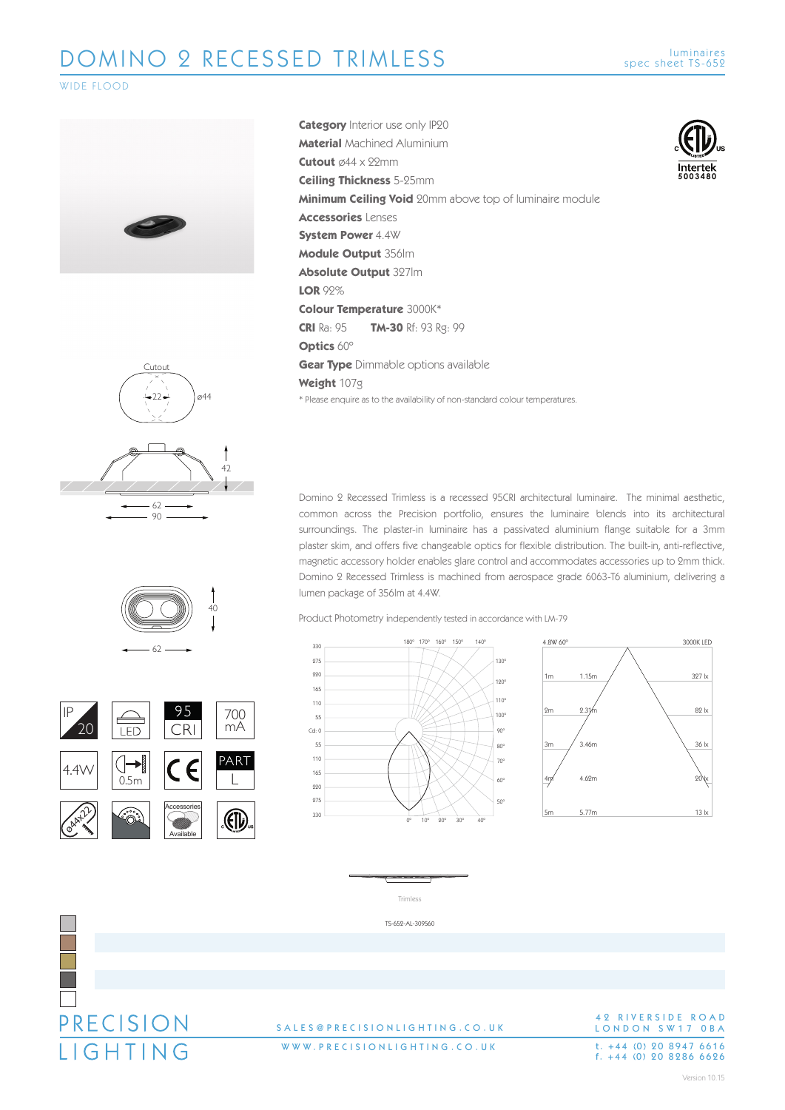**5003480**

**Intertek** 

### WIDE FLOOD





Domino 2 Recessed Trimless is a recessed 95CRI architectural luminaire. The minimal aesthetic, common across the Precision portfolio, ensures the luminaire blends into its architectural surroundings. The plaster-in luminaire has a passivated aluminium flange suitable for a 3mm plaster skim, and offers five changeable optics for flexible distribution. The built-in, anti-reflective, magnetic accessory holder enables glare control and accommodates accessories up to 2mm thick. Domino 2 Recessed Trimless is machined from aerospace grade 6063-T6 aluminium, delivering a lumen package of 356lm at 4.4W.

Product Photometry independently tested in accordance with LM-79





TS-652-AL-309560



### SALES@PRECISIONLIGHTING.CO.U K

WWW.PRECISIONLIGHTING.CO.UK

### 42 RIVERSIDE ROAD LONDON SW17 OBA t. +44 (0) 20 8947 6616<br>f. +44 (0) 20 8286 6626

Version 10.15

 $62$  $-22-$ Cutout ø44 42

90



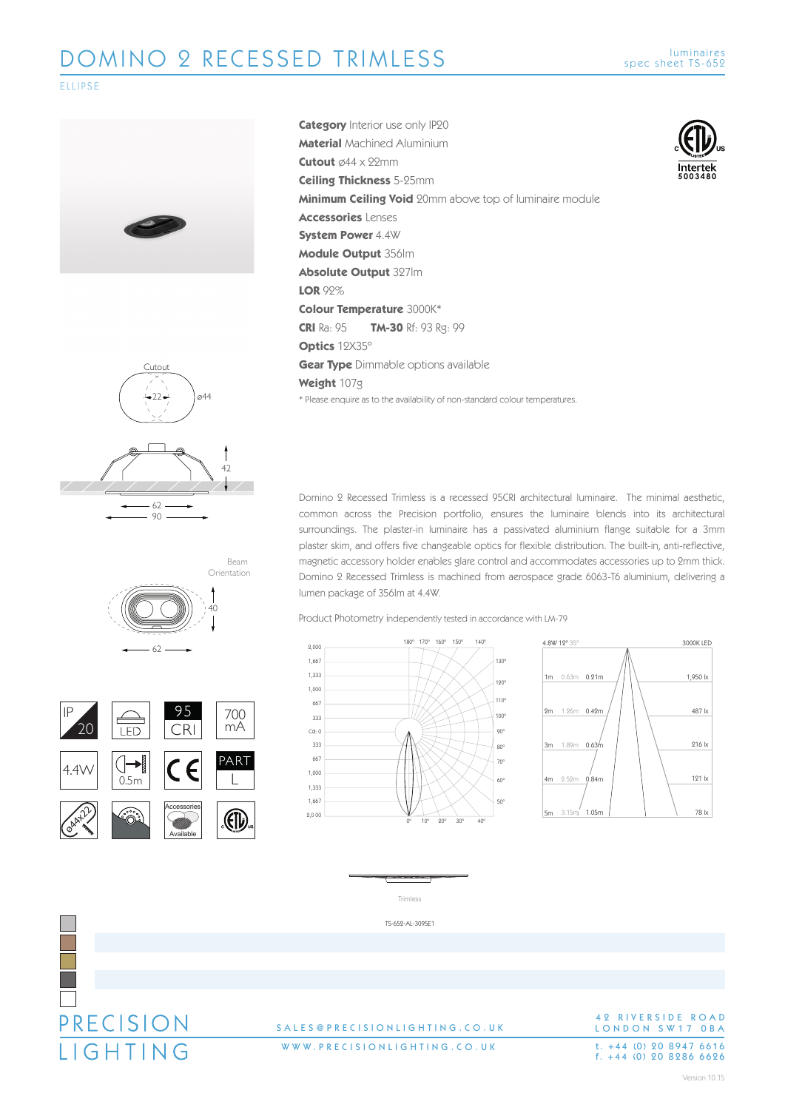### ELLIPSE





Domino 2 Recessed Trimless is a recessed 95CRI architectural luminaire. The minimal aesthetic, common across the Precision portfolio, ensures the luminaire blends into its architectural surroundings. The plaster-in luminaire has a passivated aluminium flange suitable for a 3mm plaster skim, and offers five changeable optics for flexible distribution. The built-in, anti-reflective, magnetic accessory holder enables glare control and accommodates accessories up to 2mm thick. Domino 2 Recessed Trimless is machined from aerospace grade 6063-T6 aluminium, delivering a lumen package of 356lm at 4.4W.

Product Photometry independently tested in accordance with LM-79





**Intertek 5003480**



Cutout